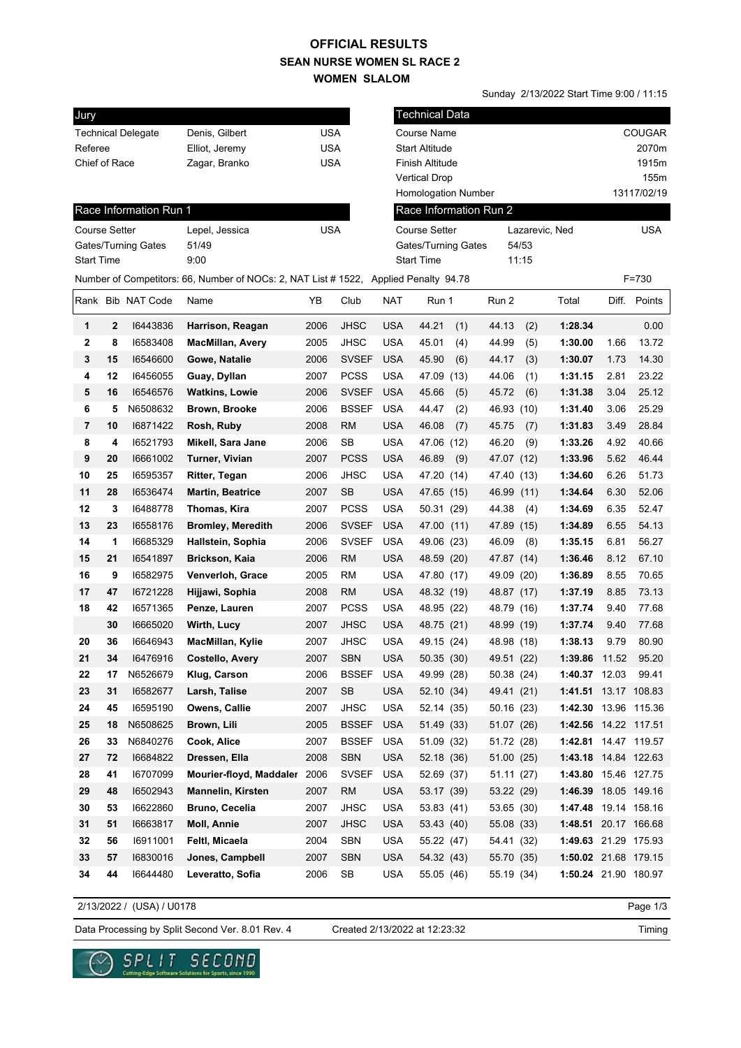## **SEAN NURSE WOMEN SL RACE 2 WOMEN SLALOM OFFICIAL RESULTS**

Sunday 2/13/2022 Start Time 9:00 / 11:15

| Jury                 |              |                           |                                                                                      |            |              |            | <b>Technical Data</b>      |            |       |                      |             |               |  |
|----------------------|--------------|---------------------------|--------------------------------------------------------------------------------------|------------|--------------|------------|----------------------------|------------|-------|----------------------|-------------|---------------|--|
|                      |              | <b>Technical Delegate</b> | Denis, Gilbert                                                                       | <b>USA</b> |              |            | Course Name                |            |       |                      |             | <b>COUGAR</b> |  |
| Referee              |              |                           | Elliot, Jeremy                                                                       | <b>USA</b> |              |            | <b>Start Altitude</b>      |            |       |                      |             | 2070m         |  |
| Chief of Race        |              |                           | Zagar, Branko                                                                        | <b>USA</b> |              |            | Finish Altitude            |            |       |                      |             | 1915m         |  |
|                      |              |                           |                                                                                      |            |              |            | <b>Vertical Drop</b>       |            |       |                      |             | 155m          |  |
|                      |              |                           |                                                                                      |            |              |            | <b>Homologation Number</b> |            |       |                      | 13117/02/19 |               |  |
|                      |              | Race Information Run 1    |                                                                                      |            |              |            | Race Information Run 2     |            |       |                      |             |               |  |
| <b>Course Setter</b> |              |                           | Lepel, Jessica                                                                       | <b>USA</b> |              |            | <b>Course Setter</b>       |            |       | Lazarevic, Ned       |             | <b>USA</b>    |  |
|                      |              | Gates/Turning Gates       | 51/49                                                                                |            |              |            | Gates/Turning Gates        |            | 54/53 |                      |             |               |  |
| <b>Start Time</b>    |              |                           | 9:00                                                                                 |            |              |            | <b>Start Time</b>          |            | 11:15 |                      |             |               |  |
|                      |              |                           | Number of Competitors: 66, Number of NOCs: 2, NAT List # 1522, Applied Penalty 94.78 |            |              |            |                            |            |       |                      |             | $F = 730$     |  |
|                      |              | Rank Bib NAT Code         | Name                                                                                 | YB         | Club         | <b>NAT</b> | Run 1                      | Run 2      |       | Total                |             | Diff. Points  |  |
| 1                    | $\mathbf{2}$ | 16443836                  | Harrison, Reagan                                                                     | 2006       | <b>JHSC</b>  | <b>USA</b> | 44.21<br>(1)               | 44.13      | (2)   | 1:28.34              |             | 0.00          |  |
| 2                    | 8            | 16583408                  | <b>MacMillan, Avery</b>                                                              | 2005       | <b>JHSC</b>  | <b>USA</b> | 45.01<br>(4)               | 44.99      | (5)   | 1:30.00              | 1.66        | 13.72         |  |
| 3                    | 15           | 16546600                  | Gowe, Natalie                                                                        | 2006       | <b>SVSEF</b> | <b>USA</b> | 45.90<br>(6)               | 44.17      | (3)   | 1:30.07              | 1.73        | 14.30         |  |
| 4                    | 12           | 16456055                  | Guay, Dyllan                                                                         | 2007       | <b>PCSS</b>  | <b>USA</b> | 47.09 (13)                 | 44.06      | (1)   | 1:31.15              | 2.81        | 23.22         |  |
| 5                    | 16           | 16546576                  | <b>Watkins, Lowie</b>                                                                | 2006       | <b>SVSEF</b> | <b>USA</b> | 45.66<br>(5)               | 45.72      | (6)   | 1:31.38              | 3.04        | 25.12         |  |
| 6                    | 5            | N6508632                  | Brown, Brooke                                                                        | 2006       | <b>BSSEF</b> | <b>USA</b> | (2)<br>44.47               | 46.93      | (10)  | 1:31.40              | 3.06        | 25.29         |  |
| 7                    | 10           | 16871422                  | Rosh, Ruby                                                                           | 2008       | <b>RM</b>    | <b>USA</b> | 46.08<br>(7)               | 45.75      | (7)   | 1:31.83              | 3.49        | 28.84         |  |
| 8                    | 4            | 16521793                  | Mikell, Sara Jane                                                                    | 2006       | SB           | <b>USA</b> | 47.06 (12)                 | 46.20      | (9)   | 1:33.26              | 4.92        | 40.66         |  |
| 9                    | 20           | 16661002                  | Turner, Vivian                                                                       | 2007       | <b>PCSS</b>  | <b>USA</b> | 46.89<br>(9)               | 47.07      | (12)  | 1:33.96              | 5.62        | 46.44         |  |
| 10                   | 25           | 16595357                  | Ritter, Tegan                                                                        | 2006       | <b>JHSC</b>  | <b>USA</b> | 47.20 (14)                 | 47.40 (13) |       | 1:34.60              | 6.26        | 51.73         |  |
| 11                   | 28           | 16536474                  | <b>Martin, Beatrice</b>                                                              | 2007       | <b>SB</b>    | <b>USA</b> | 47.65 (15)                 | 46.99      | (11)  | 1:34.64              | 6.30        | 52.06         |  |
| 12                   | 3            | 16488778                  | Thomas, Kira                                                                         | 2007       | <b>PCSS</b>  | <b>USA</b> | 50.31 (29)                 | 44.38      | (4)   | 1:34.69              | 6.35        | 52.47         |  |
| 13                   | 23           | 16558176                  | <b>Bromley, Meredith</b>                                                             | 2006       | <b>SVSEF</b> | <b>USA</b> | 47.00 (11)                 | 47.89 (15) |       | 1:34.89              | 6.55        | 54.13         |  |
| 14                   | 1            | 16685329                  | Hallstein, Sophia                                                                    | 2006       | <b>SVSEF</b> | <b>USA</b> | 49.06 (23)                 | 46.09      | (8)   | 1:35.15              | 6.81        | 56.27         |  |
| 15                   | 21           | 16541897                  | Brickson, Kaia                                                                       | 2006       | <b>RM</b>    | <b>USA</b> | 48.59 (20)                 | 47.87 (14) |       | 1:36.46              | 8.12        | 67.10         |  |
| 16                   | 9            | 16582975                  | Venverloh, Grace                                                                     | 2005       | <b>RM</b>    | <b>USA</b> | 47.80 (17)                 | 49.09      | (20)  | 1:36.89              | 8.55        | 70.65         |  |
| 17                   | 47           | 16721228                  | Hijjawi, Sophia                                                                      | 2008       | <b>RM</b>    | <b>USA</b> | 48.32 (19)                 | 48.87      | (17)  | 1:37.19              | 8.85        | 73.13         |  |
| 18                   | 42           | 16571365                  | Penze, Lauren                                                                        | 2007       | <b>PCSS</b>  | <b>USA</b> | 48.95 (22)                 | 48.79 (16) |       | 1:37.74              | 9.40        | 77.68         |  |
|                      | 30           | 16665020                  | Wirth, Lucy                                                                          | 2007       | <b>JHSC</b>  | <b>USA</b> | 48.75 (21)                 | 48.99 (19) |       | 1:37.74              | 9.40        | 77.68         |  |
| 20                   | 36           | 16646943                  | MacMillan, Kylie                                                                     | 2007       | JHSC         | <b>USA</b> | 49.15 (24)                 | 48.98 (18) |       | 1:38.13              | 9.79        | 80.90         |  |
| 21                   | 34           | 16476916                  | Costello, Avery                                                                      | 2007       | <b>SBN</b>   | <b>USA</b> | 50.35 (30)                 | 49.51 (22) |       | 1:39.86              | 11.52       | 95.20         |  |
| 22                   | 17           | N6526679                  | Klug, Carson                                                                         | 2006       | <b>BSSEF</b> | <b>USA</b> | 49.99 (28)                 | 50.38 (24) |       | 1:40.37 12.03        |             | 99.41         |  |
| 23                   | 31           | 16582677                  | Larsh, Talise                                                                        | 2007       | SB           | <b>USA</b> | 52.10 (34)                 | 49.41 (21) |       | 1:41.51 13.17 108.83 |             |               |  |
| 24                   | 45           | 16595190                  | Owens, Callie                                                                        | 2007       | JHSC         | <b>USA</b> | 52.14 (35)                 | 50.16 (23) |       | 1:42.30 13.96 115.36 |             |               |  |
| 25                   | 18           | N6508625                  | Brown, Lili                                                                          | 2005       | <b>BSSEF</b> | <b>USA</b> | 51.49 (33)                 | 51.07 (26) |       | 1:42.56 14.22 117.51 |             |               |  |
| 26                   | 33           | N6840276                  | Cook, Alice                                                                          | 2007       | <b>BSSEF</b> | <b>USA</b> | 51.09 (32)                 | 51.72 (28) |       | 1:42.81 14.47 119.57 |             |               |  |
| 27                   | 72           | 16684822                  | Dressen, Ella                                                                        | 2008       | <b>SBN</b>   | <b>USA</b> | 52.18 (36)                 | 51.00 (25) |       | 1:43.18 14.84 122.63 |             |               |  |
| 28                   | 41           | 16707099                  | Mourier-floyd, Maddaler                                                              | 2006       | <b>SVSEF</b> | <b>USA</b> | 52.69 (37)                 | 51.11 (27) |       | 1:43.80 15.46 127.75 |             |               |  |
| 29                   | 48           | 16502943                  | <b>Mannelin, Kirsten</b>                                                             | 2007       | <b>RM</b>    | <b>USA</b> | 53.17 (39)                 | 53.22 (29) |       | 1:46.39 18.05 149.16 |             |               |  |
| 30                   | 53           | 16622860                  | Bruno, Cecelia                                                                       | 2007       | <b>JHSC</b>  | <b>USA</b> | 53.83 (41)                 | 53.65 (30) |       | 1:47.48 19.14 158.16 |             |               |  |
| 31                   | 51           | 16663817                  | Moll, Annie                                                                          | 2007       | <b>JHSC</b>  | <b>USA</b> | 53.43 (40)                 | 55.08 (33) |       | 1:48.51 20.17 166.68 |             |               |  |
| 32                   | 56           | 16911001                  | Feltl, Micaela                                                                       | 2004       | SBN          | <b>USA</b> | 55.22 (47)                 | 54.41 (32) |       | 1:49.63 21.29 175.93 |             |               |  |
| 33                   | 57           | 16830016                  | Jones, Campbell                                                                      | 2007       | <b>SBN</b>   | <b>USA</b> | 54.32 (43)                 | 55.70 (35) |       | 1:50.02 21.68 179.15 |             |               |  |
| 34                   | 44           | 16644480                  | Leveratto, Sofia                                                                     | 2006       | SB           | <b>USA</b> | 55.05 (46)                 | 55.19 (34) |       | 1:50.24 21.90 180.97 |             |               |  |

2/13/2022 / (USA) / U0178

Page 1/3

Data Processing by Split Second Ver. 8.01 Rev. 4 Created 2/13/2022 at 12:23:32

Created 2/13/2022 at 12:23:32

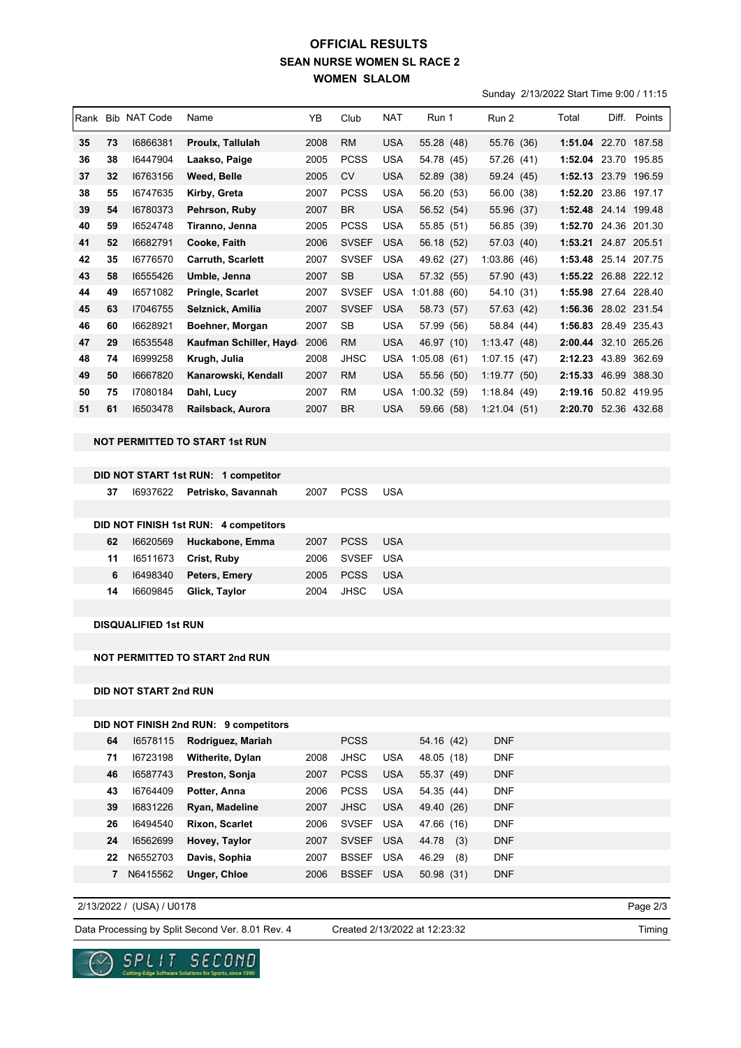## **SEAN NURSE WOMEN SL RACE 2 WOMEN SLALOM OFFICIAL RESULTS**

Sunday 2/13/2022 Start Time 9:00 / 11:15

| Rank |    | <b>Bib NAT Code</b> | Name                    | YB   | Club         | <b>NAT</b> | Run 1       | Run 2        | Total                | Diff. | Points       |
|------|----|---------------------|-------------------------|------|--------------|------------|-------------|--------------|----------------------|-------|--------------|
| 35   | 73 | 16866381            | Proulx, Tallulah        | 2008 | <b>RM</b>    | <b>USA</b> | 55.28 (48)  | 55.76 (36)   | 1:51.04 22.70 187.58 |       |              |
| 36   | 38 | 16447904            | Laakso, Paige           | 2005 | <b>PCSS</b>  | <b>USA</b> | 54.78 (45)  | 57.26 (41)   | 1:52.04 23.70        |       | 195.85       |
| 37   | 32 | 16763156            | Weed, Belle             | 2005 | <b>CV</b>    | <b>USA</b> | 52.89 (38)  | 59.24 (45)   | 1:52.13 23.79 196.59 |       |              |
| 38   | 55 | 16747635            | Kirby, Greta            | 2007 | <b>PCSS</b>  | <b>USA</b> | 56.20 (53)  | 56.00 (38)   | 1:52.20 23.86 197.17 |       |              |
| 39   | 54 | 16780373            | Pehrson, Ruby           | 2007 | <b>BR</b>    | <b>USA</b> | 56.52 (54)  | 55.96 (37)   | 1:52.48 24.14 199.48 |       |              |
| 40   | 59 | 16524748            | Tiranno, Jenna          | 2005 | <b>PCSS</b>  | <b>USA</b> | 55.85 (51)  | 56.85 (39)   | 1:52.70              |       | 24.36 201.30 |
| 41   | 52 | 16682791            | Cooke, Faith            | 2006 | <b>SVSEF</b> | <b>USA</b> | 56.18 (52)  | 57.03 (40)   | 1:53.21              |       | 24.87 205.51 |
| 42   | 35 | 16776570            | Carruth, Scarlett       | 2007 | <b>SVSEF</b> | <b>USA</b> | 49.62 (27)  | 1:03.86 (46) | 1:53.48              |       | 25.14 207.75 |
| 43   | 58 | 16555426            | Umble, Jenna            | 2007 | <b>SB</b>    | <b>USA</b> | 57.32 (55)  | 57.90 (43)   | 1:55.22              |       | 26.88 222.12 |
| 44   | 49 | 16571082            | <b>Pringle, Scarlet</b> | 2007 | <b>SVSEF</b> | <b>USA</b> | 1:01.88(60) | 54.10 (31)   | 1:55.98              |       | 27.64 228.40 |
| 45   | 63 | 17046755            | Selznick, Amilia        | 2007 | <b>SVSEF</b> | <b>USA</b> | 58.73 (57)  | 57.63 (42)   | 1:56.36              |       | 28.02 231.54 |
| 46   | 60 | 16628921            | Boehner, Morgan         | 2007 | <b>SB</b>    | <b>USA</b> | 57.99 (56)  | 58.84 (44)   | 1:56.83              |       | 28.49 235.43 |
| 47   | 29 | 16535548            | Kaufman Schiller, Hayd  | 2006 | <b>RM</b>    | <b>USA</b> | 46.97 (10)  | 1:13.47(48)  | 2:00.44 32.10 265.26 |       |              |
| 48   | 74 | 16999258            | Krugh, Julia            | 2008 | <b>JHSC</b>  | <b>USA</b> | 1:05.08(61) | 1:07.15(47)  | 2:12.23              | 43.89 | 362.69       |
| 49   | 50 | 16667820            | Kanarowski, Kendall     | 2007 | <b>RM</b>    | <b>USA</b> | 55.56 (50)  | 1:19.77(50)  | 2:15.33              |       | 46.99 388.30 |
| 50   | 75 | 17080184            | Dahl, Lucy              | 2007 | RM           | <b>USA</b> | 1:00.32(59) | 1:18.84(49)  | 2:19.16              |       | 50.82 419.95 |
| 51   | 61 | 16503478            | Railsback, Aurora       | 2007 | <b>BR</b>    | <b>USA</b> | 59.66 (58)  | 1:21.04(51)  | 2:20.70 52.36 432.68 |       |              |

**NOT PERMITTED TO START 1st RUN**

|    |          | DID NOT START 1st RUN: 1 competitor   |      |             |            |
|----|----------|---------------------------------------|------|-------------|------------|
| 37 | 16937622 | Petrisko, Savannah                    | 2007 | <b>PCSS</b> | USA        |
|    |          |                                       |      |             |            |
|    |          | DID NOT FINISH 1st RUN: 4 competitors |      |             |            |
| 62 | 16620569 | Huckabone, Emma                       | 2007 | <b>PCSS</b> | - USA      |
| 11 | 16511673 | Crist, Ruby                           | 2006 | SVSEF USA   |            |
| 6  | 16498340 | Peters, Emery                         | 2005 | <b>PCSS</b> | <b>USA</b> |
| 14 | 16609845 | Glick, Taylor                         | 2004 | JHSC        | USA        |
|    |          |                                       |      |             |            |

**DISQUALIFIED 1st RUN**

**NOT PERMITTED TO START 2nd RUN**

**DID NOT START 2nd RUN**

## **DID NOT FINISH 2nd RUN: 9 competitors**

| 64 | 16578115 | Rodriguez, Mariah       |      | <b>PCSS</b>  |            | 54.16 (42)   | <b>DNF</b> |
|----|----------|-------------------------|------|--------------|------------|--------------|------------|
| 71 | 16723198 | <b>Witherite, Dylan</b> | 2008 | <b>JHSC</b>  | <b>USA</b> | 48.05 (18)   | <b>DNF</b> |
| 46 | 16587743 | Preston, Sonja          | 2007 | <b>PCSS</b>  | <b>USA</b> | 55.37 (49)   | <b>DNF</b> |
| 43 | 16764409 | Potter, Anna            | 2006 | <b>PCSS</b>  | <b>USA</b> | 54.35 (44)   | <b>DNF</b> |
| 39 | 16831226 | Ryan, Madeline          | 2007 | <b>JHSC</b>  | <b>USA</b> | 49.40 (26)   | <b>DNF</b> |
| 26 | 16494540 | <b>Rixon, Scarlet</b>   | 2006 | <b>SVSEF</b> | <b>USA</b> | 47.66 (16)   | <b>DNF</b> |
| 24 | 16562699 | Hovey, Taylor           | 2007 | <b>SVSEF</b> | <b>USA</b> | 44.78<br>(3) | <b>DNF</b> |
| 22 | N6552703 | Davis, Sophia           | 2007 | <b>BSSEF</b> | <b>USA</b> | 46.29<br>(8) | <b>DNF</b> |
| 7  | N6415562 | Unger, Chloe            | 2006 | <b>BSSEF</b> | <b>USA</b> | 50.98 (31)   | <b>DNF</b> |

2/13/2022 / (USA) / U0178

Data Processing by Split Second Ver. 8.01 Rev. 4 Created 2/13/2022 at 12:23:32

Created 2/13/2022 at 12:23:32

Page 2/3